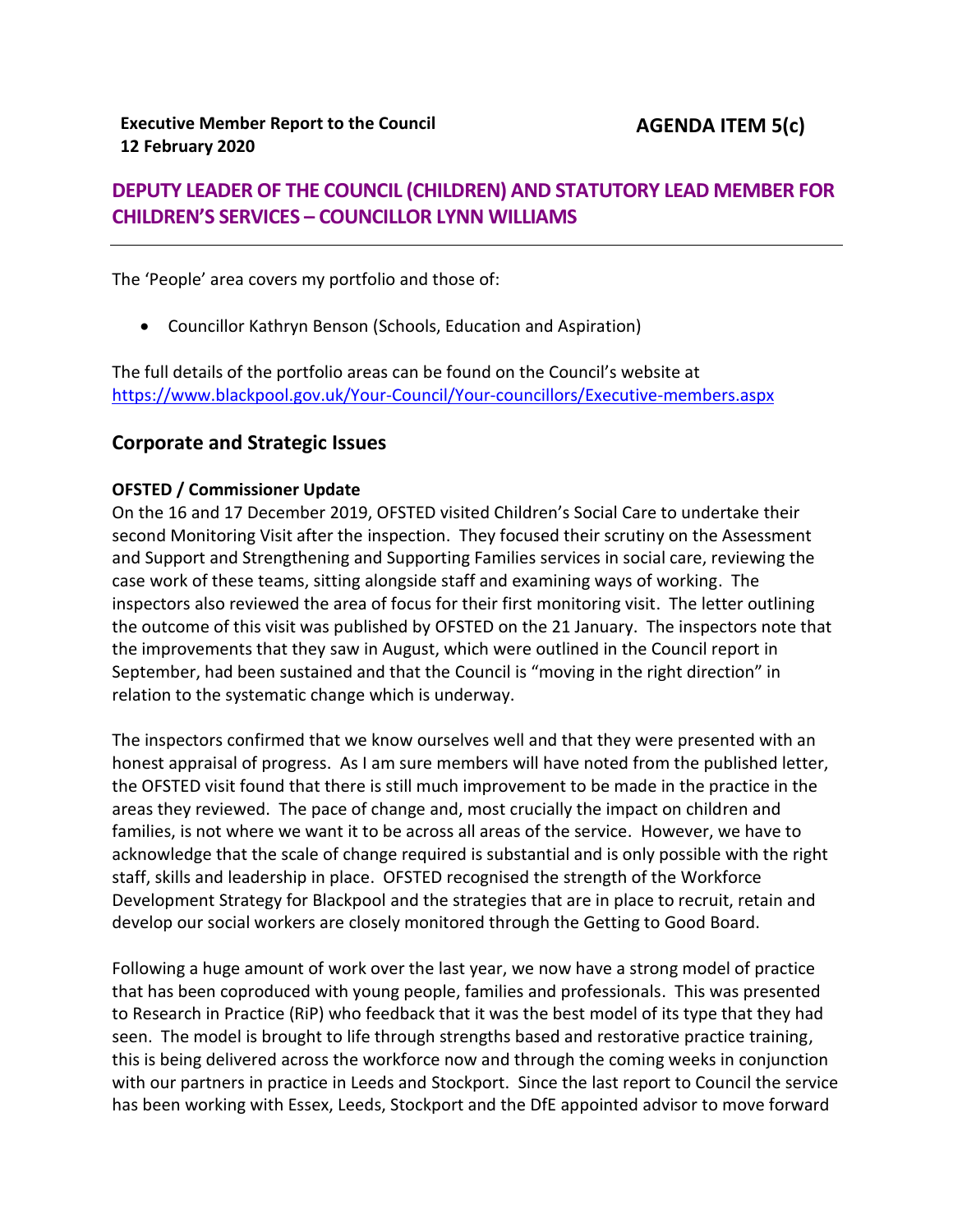# **DEPUTY LEADER OF THE COUNCIL (CHILDREN) AND STATUTORY LEAD MEMBER FOR CHILDREN'S SERVICES – COUNCILLOR LYNN WILLIAMS**

The 'People' area covers my portfolio and those of:

Councillor Kathryn Benson (Schools, Education and Aspiration)

The full details of the portfolio areas can be found on the Council's website at <https://www.blackpool.gov.uk/Your-Council/Your-councillors/Executive-members.aspx>

## **Corporate and Strategic Issues**

### **OFSTED / Commissioner Update**

On the 16 and 17 December 2019, OFSTED visited Children's Social Care to undertake their second Monitoring Visit after the inspection. They focused their scrutiny on the Assessment and Support and Strengthening and Supporting Families services in social care, reviewing the case work of these teams, sitting alongside staff and examining ways of working. The inspectors also reviewed the area of focus for their first monitoring visit. The letter outlining the outcome of this visit was published by OFSTED on the 21 January. The inspectors note that the improvements that they saw in August, which were outlined in the Council report in September, had been sustained and that the Council is "moving in the right direction" in relation to the systematic change which is underway.

The inspectors confirmed that we know ourselves well and that they were presented with an honest appraisal of progress. As I am sure members will have noted from the published letter, the OFSTED visit found that there is still much improvement to be made in the practice in the areas they reviewed. The pace of change and, most crucially the impact on children and families, is not where we want it to be across all areas of the service. However, we have to acknowledge that the scale of change required is substantial and is only possible with the right staff, skills and leadership in place. OFSTED recognised the strength of the Workforce Development Strategy for Blackpool and the strategies that are in place to recruit, retain and develop our social workers are closely monitored through the Getting to Good Board.

Following a huge amount of work over the last year, we now have a strong model of practice that has been coproduced with young people, families and professionals. This was presented to Research in Practice (RiP) who feedback that it was the best model of its type that they had seen. The model is brought to life through strengths based and restorative practice training, this is being delivered across the workforce now and through the coming weeks in conjunction with our partners in practice in Leeds and Stockport. Since the last report to Council the service has been working with Essex, Leeds, Stockport and the DfE appointed advisor to move forward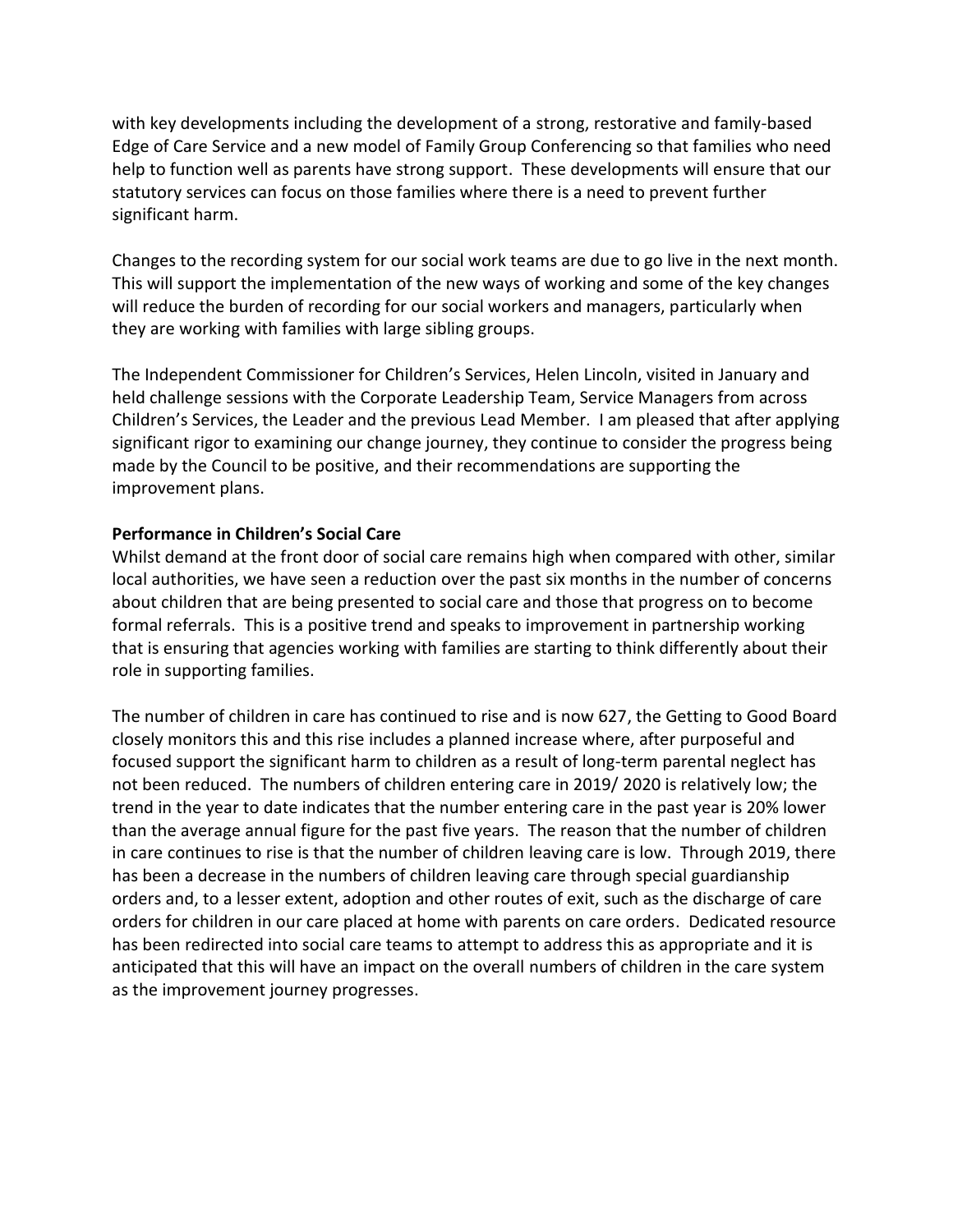with key developments including the development of a strong, restorative and family-based Edge of Care Service and a new model of Family Group Conferencing so that families who need help to function well as parents have strong support. These developments will ensure that our statutory services can focus on those families where there is a need to prevent further significant harm.

Changes to the recording system for our social work teams are due to go live in the next month. This will support the implementation of the new ways of working and some of the key changes will reduce the burden of recording for our social workers and managers, particularly when they are working with families with large sibling groups.

The Independent Commissioner for Children's Services, Helen Lincoln, visited in January and held challenge sessions with the Corporate Leadership Team, Service Managers from across Children's Services, the Leader and the previous Lead Member. I am pleased that after applying significant rigor to examining our change journey, they continue to consider the progress being made by the Council to be positive, and their recommendations are supporting the improvement plans.

### **Performance in Children's Social Care**

Whilst demand at the front door of social care remains high when compared with other, similar local authorities, we have seen a reduction over the past six months in the number of concerns about children that are being presented to social care and those that progress on to become formal referrals. This is a positive trend and speaks to improvement in partnership working that is ensuring that agencies working with families are starting to think differently about their role in supporting families.

The number of children in care has continued to rise and is now 627, the Getting to Good Board closely monitors this and this rise includes a planned increase where, after purposeful and focused support the significant harm to children as a result of long-term parental neglect has not been reduced. The numbers of children entering care in 2019/ 2020 is relatively low; the trend in the year to date indicates that the number entering care in the past year is 20% lower than the average annual figure for the past five years. The reason that the number of children in care continues to rise is that the number of children leaving care is low. Through 2019, there has been a decrease in the numbers of children leaving care through special guardianship orders and, to a lesser extent, adoption and other routes of exit, such as the discharge of care orders for children in our care placed at home with parents on care orders. Dedicated resource has been redirected into social care teams to attempt to address this as appropriate and it is anticipated that this will have an impact on the overall numbers of children in the care system as the improvement journey progresses.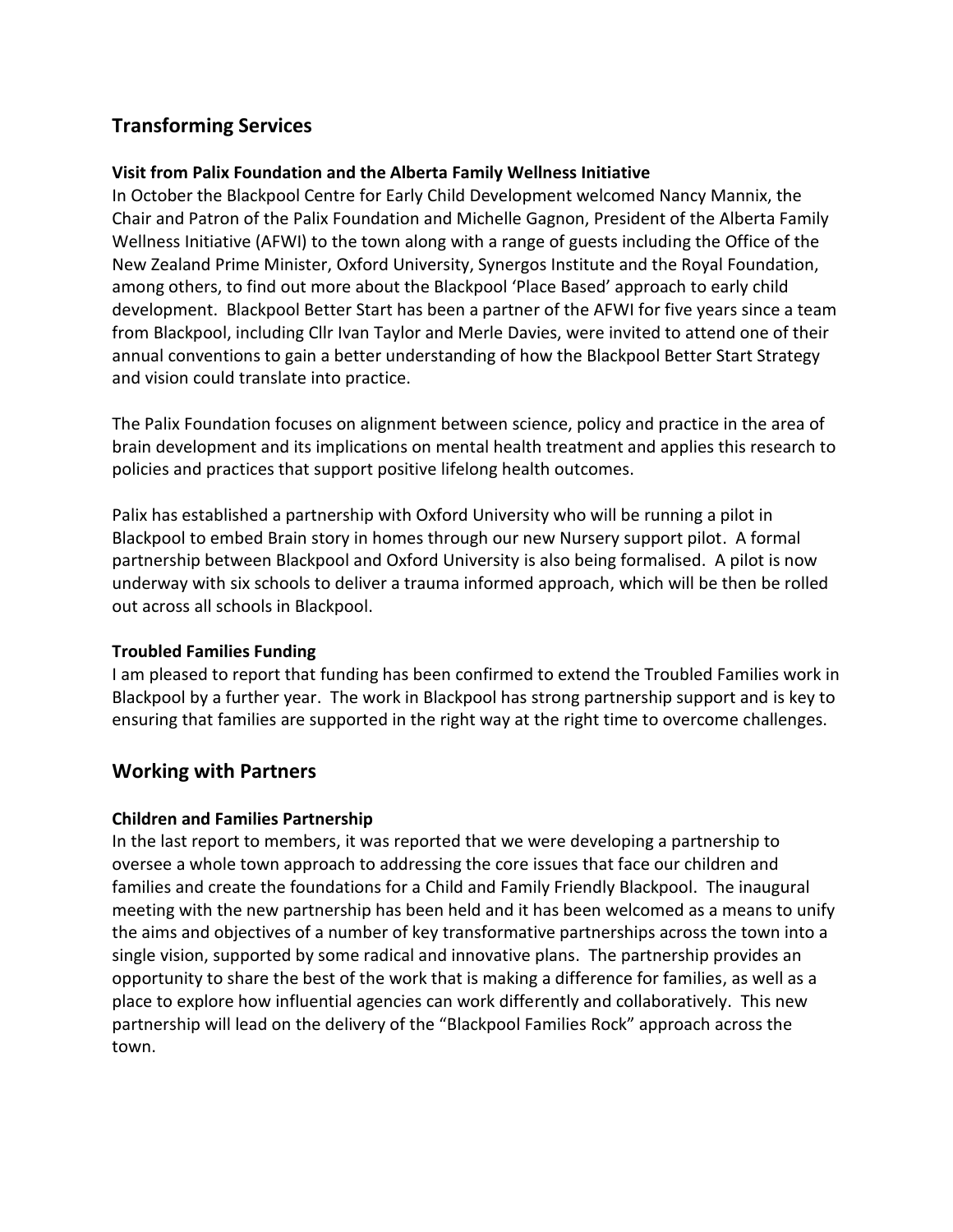# **Transforming Services**

### **Visit from Palix Foundation and the Alberta Family Wellness Initiative**

In October the Blackpool Centre for Early Child Development welcomed Nancy Mannix, the Chair and Patron of the Palix Foundation and Michelle Gagnon, President of the Alberta Family Wellness Initiative (AFWI) to the town along with a range of guests including the Office of the New Zealand Prime Minister, Oxford University, Synergos Institute and the Royal Foundation, among others, to find out more about the Blackpool 'Place Based' approach to early child development. Blackpool Better Start has been a partner of the AFWI for five years since a team from Blackpool, including Cllr Ivan Taylor and Merle Davies, were invited to attend one of their annual conventions to gain a better understanding of how the Blackpool Better Start Strategy and vision could translate into practice.

The Palix Foundation focuses on alignment between science, policy and practice in the area of brain development and its implications on mental health treatment and applies this research to policies and practices that support positive lifelong health outcomes.

Palix has established a partnership with Oxford University who will be running a pilot in Blackpool to embed Brain story in homes through our new Nursery support pilot. A formal partnership between Blackpool and Oxford University is also being formalised. A pilot is now underway with six schools to deliver a trauma informed approach, which will be then be rolled out across all schools in Blackpool.

## **Troubled Families Funding**

I am pleased to report that funding has been confirmed to extend the Troubled Families work in Blackpool by a further year. The work in Blackpool has strong partnership support and is key to ensuring that families are supported in the right way at the right time to overcome challenges.

## **Working with Partners**

#### **Children and Families Partnership**

In the last report to members, it was reported that we were developing a partnership to oversee a whole town approach to addressing the core issues that face our children and families and create the foundations for a Child and Family Friendly Blackpool. The inaugural meeting with the new partnership has been held and it has been welcomed as a means to unify the aims and objectives of a number of key transformative partnerships across the town into a single vision, supported by some radical and innovative plans. The partnership provides an opportunity to share the best of the work that is making a difference for families, as well as a place to explore how influential agencies can work differently and collaboratively. This new partnership will lead on the delivery of the "Blackpool Families Rock" approach across the town.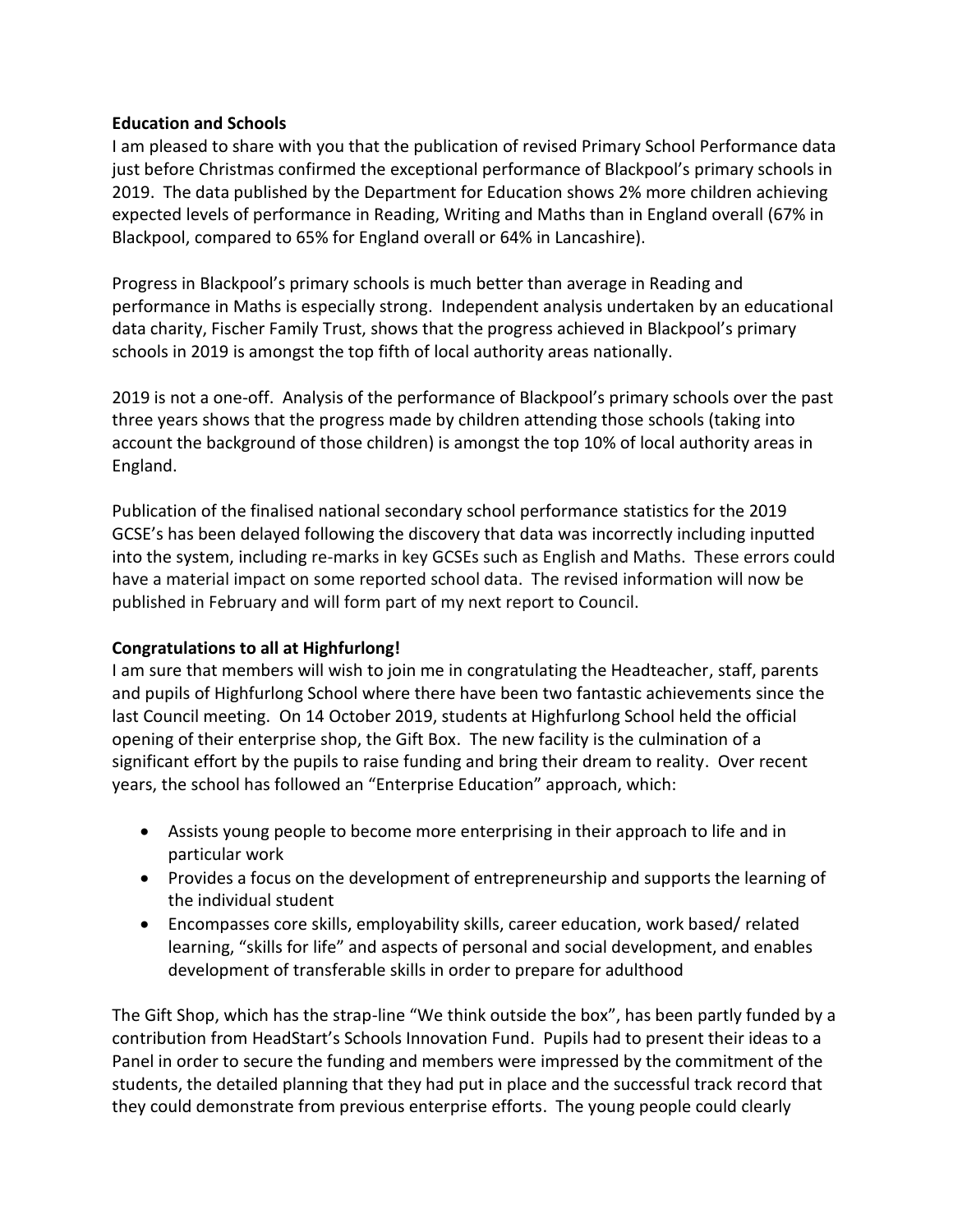#### **Education and Schools**

I am pleased to share with you that the publication of revised Primary School Performance data just before Christmas confirmed the exceptional performance of Blackpool's primary schools in 2019. The data published by the Department for Education shows 2% more children achieving expected levels of performance in Reading, Writing and Maths than in England overall (67% in Blackpool, compared to 65% for England overall or 64% in Lancashire).

Progress in Blackpool's primary schools is much better than average in Reading and performance in Maths is especially strong. Independent analysis undertaken by an educational data charity, Fischer Family Trust, shows that the progress achieved in Blackpool's primary schools in 2019 is amongst the top fifth of local authority areas nationally.

2019 is not a one-off. Analysis of the performance of Blackpool's primary schools over the past three years shows that the progress made by children attending those schools (taking into account the background of those children) is amongst the top 10% of local authority areas in England.

Publication of the finalised national secondary school performance statistics for the 2019 GCSE's has been delayed following the discovery that data was incorrectly including inputted into the system, including re-marks in key GCSEs such as English and Maths. These errors could have a material impact on some reported school data. The revised information will now be published in February and will form part of my next report to Council.

#### **Congratulations to all at Highfurlong!**

I am sure that members will wish to join me in congratulating the Headteacher, staff, parents and pupils of Highfurlong School where there have been two fantastic achievements since the last Council meeting. On 14 October 2019, students at Highfurlong School held the official opening of their enterprise shop, the Gift Box. The new facility is the culmination of a significant effort by the pupils to raise funding and bring their dream to reality. Over recent years, the school has followed an "Enterprise Education" approach, which:

- Assists young people to become more enterprising in their approach to life and in particular work
- Provides a focus on the development of entrepreneurship and supports the learning of the individual student
- Encompasses core skills, employability skills, career education, work based/ related learning, "skills for life" and aspects of personal and social development, and enables development of transferable skills in order to prepare for adulthood

The Gift Shop, which has the strap-line "We think outside the box", has been partly funded by a contribution from HeadStart's Schools Innovation Fund. Pupils had to present their ideas to a Panel in order to secure the funding and members were impressed by the commitment of the students, the detailed planning that they had put in place and the successful track record that they could demonstrate from previous enterprise efforts. The young people could clearly